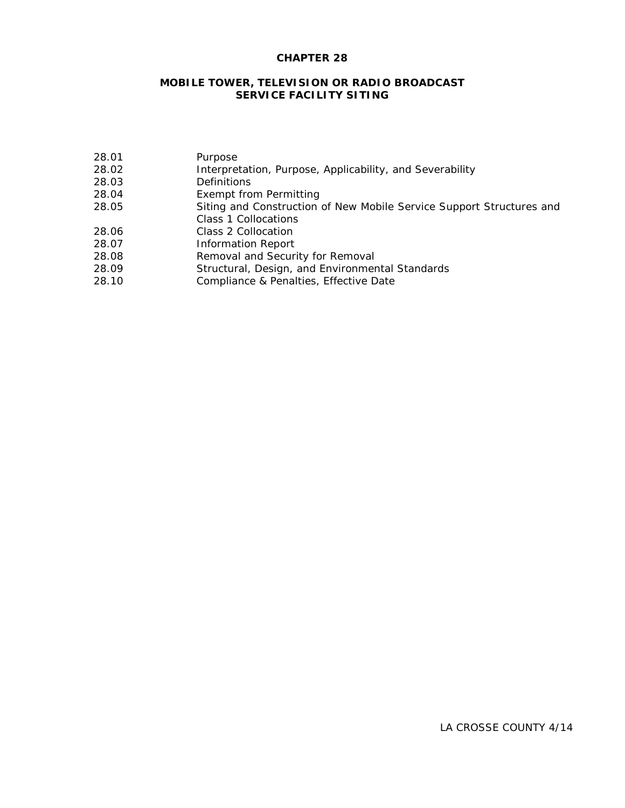# **CHAPTER 28**

# **MOBILE TOWER, TELEVISION OR RADIO BROADCAST SERVICE FACILITY SITING**

| 28.01 | Purpose                                                              |
|-------|----------------------------------------------------------------------|
| 28.02 | Interpretation, Purpose, Applicability, and Severability             |
| 28.03 | <b>Definitions</b>                                                   |
| 28.04 | Exempt from Permitting                                               |
| 28.05 | Siting and Construction of New Mobile Service Support Structures and |
|       | Class 1 Collocations                                                 |
| 28.06 | Class 2 Collocation                                                  |
| 28.07 | <b>Information Report</b>                                            |
| 28.08 | Removal and Security for Removal                                     |
| 28.09 | Structural, Design, and Environmental Standards                      |
| 28.10 | Compliance & Penalties, Effective Date                               |
|       |                                                                      |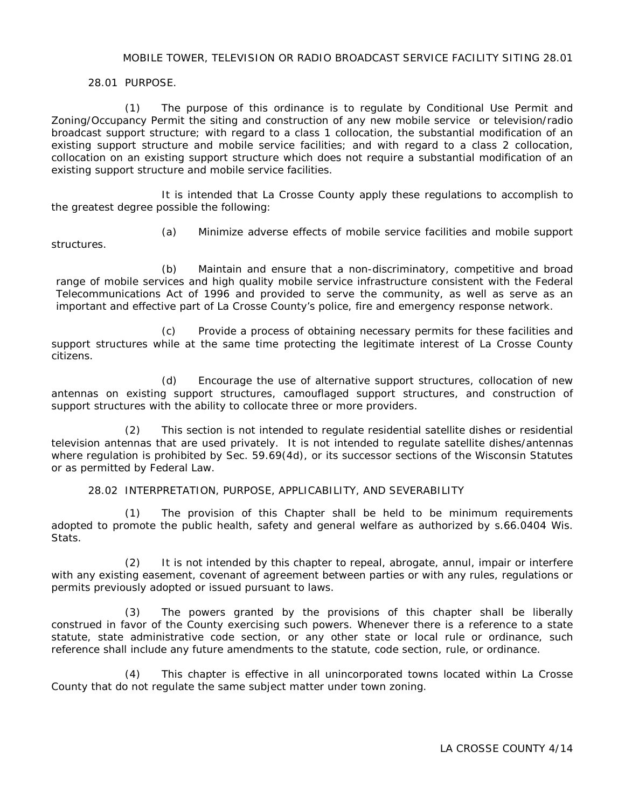#### MOBILE TOWER, TELEVISION OR RADIO BROADCAST SERVICE FACILITY SITING 28.01

28.01 PURPOSE.

(1) The purpose of this ordinance is to regulate by Conditional Use Permit and Zoning/Occupancy Permit the siting and construction of any new mobile service or television/radio broadcast support structure; with regard to a class 1 collocation, the substantial modification of an existing support structure and mobile service facilities; and with regard to a class 2 collocation, collocation on an existing support structure which does not require a substantial modification of an existing support structure and mobile service facilities.

It is intended that La Crosse County apply these regulations to accomplish to the greatest degree possible the following:

structures.

(a) Minimize adverse effects of mobile service facilities and mobile support

(b) Maintain and ensure that a non-discriminatory, competitive and broad range of mobile services and high quality mobile service infrastructure consistent with the Federal Telecommunications Act of 1996 and provided to serve the community, as well as serve as an important and effective part of La Crosse County's police, fire and emergency response network.

(c) Provide a process of obtaining necessary permits for these facilities and support structures while at the same time protecting the legitimate interest of La Crosse County citizens.

(d) Encourage the use of alternative support structures, collocation of new antennas on existing support structures, camouflaged support structures, and construction of support structures with the ability to collocate three or more providers.

(2) This section is not intended to regulate residential satellite dishes or residential television antennas that are used privately. It is not intended to regulate satellite dishes/antennas where regulation is prohibited by Sec. 59.69(4d), or its successor sections of the Wisconsin Statutes or as permitted by Federal Law.

28.02 INTERPRETATION, PURPOSE, APPLICABILITY, AND SEVERABILITY

(1) The provision of this Chapter shall be held to be minimum requirements adopted to promote the public health, safety and general welfare as authorized by s.66.0404 Wis. Stats.

(2) It is not intended by this chapter to repeal, abrogate, annul, impair or interfere with any existing easement, covenant of agreement between parties or with any rules, regulations or permits previously adopted or issued pursuant to laws.

(3) The powers granted by the provisions of this chapter shall be liberally construed in favor of the County exercising such powers. Whenever there is a reference to a state statute, state administrative code section, or any other state or local rule or ordinance, such reference shall include any future amendments to the statute, code section, rule, or ordinance.

(4) This chapter is effective in all unincorporated towns located within La Crosse County that do not regulate the same subject matter under town zoning.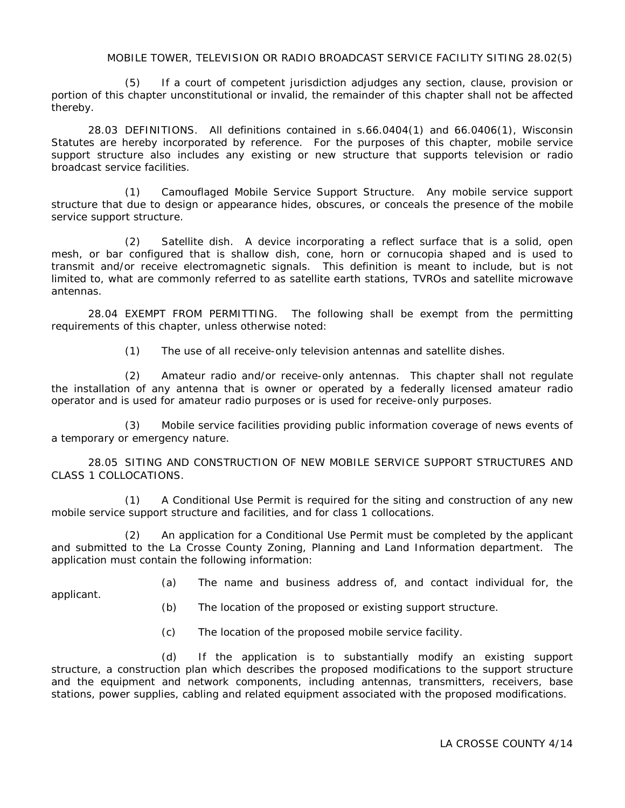#### MOBILE TOWER, TELEVISION OR RADIO BROADCAST SERVICE FACILITY SITING 28.02(5)

If a court of competent jurisdiction adjudges any section, clause, provision or portion of this chapter unconstitutional or invalid, the remainder of this chapter shall not be affected thereby.

28.03 DEFINITIONS. All definitions contained in s.66.0404(1) and 66.0406(1), Wisconsin Statutes are hereby incorporated by reference. For the purposes of this chapter, mobile service support structure also includes any existing or new structure that supports television or radio broadcast service facilities.

(1) Camouflaged Mobile Service Support Structure. Any mobile service support structure that due to design or appearance hides, obscures, or conceals the presence of the mobile service support structure.

(2) Satellite dish. A device incorporating a reflect surface that is a solid, open mesh, or bar configured that is shallow dish, cone, horn or cornucopia shaped and is used to transmit and/or receive electromagnetic signals. This definition is meant to include, but is not limited to, what are commonly referred to as satellite earth stations, TVROs and satellite microwave antennas.

28.04 EXEMPT FROM PERMITTING. The following shall be exempt from the permitting requirements of this chapter, unless otherwise noted:

(1) The use of all receive-only television antennas and satellite dishes.

(2) Amateur radio and/or receive-only antennas. This chapter shall not regulate the installation of any antenna that is owner or operated by a federally licensed amateur radio operator and is used for amateur radio purposes or is used for receive-only purposes.

(3) Mobile service facilities providing public information coverage of news events of a temporary or emergency nature.

28.05 SITING AND CONSTRUCTION OF NEW MOBILE SERVICE SUPPORT STRUCTURES AND CLASS 1 COLLOCATIONS.

(1) A Conditional Use Permit is required for the siting and construction of any new mobile service support structure and facilities, and for class 1 collocations.

(2) An application for a Conditional Use Permit must be completed by the applicant and submitted to the La Crosse County Zoning, Planning and Land Information department. The application must contain the following information:

applicant.

- (a) The name and business address of, and contact individual for, the
- (b) The location of the proposed or existing support structure.
- (c) The location of the proposed mobile service facility.

(d) If the application is to substantially modify an existing support structure, a construction plan which describes the proposed modifications to the support structure and the equipment and network components, including antennas, transmitters, receivers, base stations, power supplies, cabling and related equipment associated with the proposed modifications.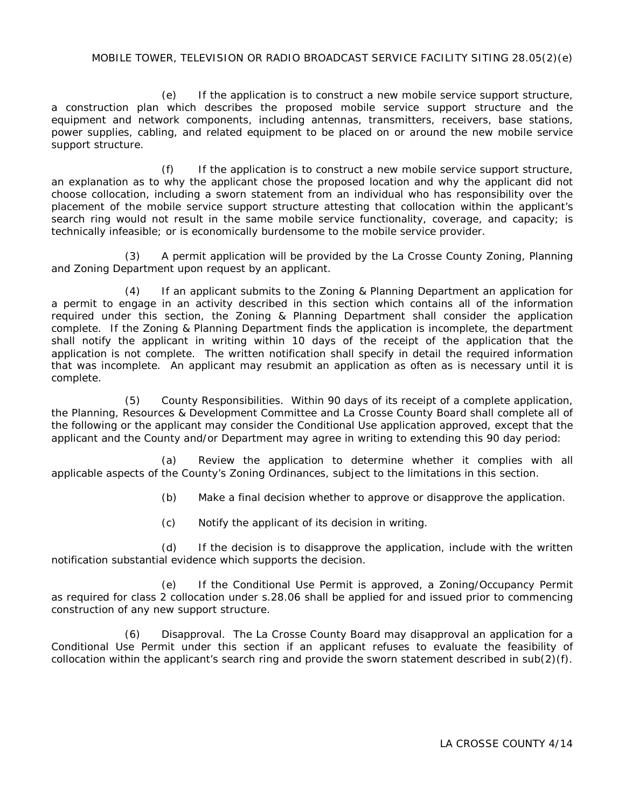## MOBILE TOWER, TELEVISION OR RADIO BROADCAST SERVICE FACILITY SITING 28.05(2)(e)

(e) If the application is to construct a new mobile service support structure, a construction plan which describes the proposed mobile service support structure and the equipment and network components, including antennas, transmitters, receivers, base stations, power supplies, cabling, and related equipment to be placed on or around the new mobile service support structure.

(f) If the application is to construct a new mobile service support structure, an explanation as to why the applicant chose the proposed location and why the applicant did not choose collocation, including a sworn statement from an individual who has responsibility over the placement of the mobile service support structure attesting that collocation within the applicant's search ring would not result in the same mobile service functionality, coverage, and capacity; is technically infeasible; or is economically burdensome to the mobile service provider.

(3) A permit application will be provided by the La Crosse County Zoning, Planning and Zoning Department upon request by an applicant.

(4) If an applicant submits to the Zoning & Planning Department an application for a permit to engage in an activity described in this section which contains all of the information required under this section, the Zoning & Planning Department shall consider the application complete. If the Zoning & Planning Department finds the application is incomplete, the department shall notify the applicant in writing within 10 days of the receipt of the application that the application is not complete. The written notification shall specify in detail the required information that was incomplete. An applicant may resubmit an application as often as is necessary until it is complete.

(5) County Responsibilities. Within 90 days of its receipt of a complete application, the Planning, Resources & Development Committee and La Crosse County Board shall complete all of the following or the applicant may consider the Conditional Use application approved, except that the applicant and the County and/or Department may agree in writing to extending this 90 day period:

(a) Review the application to determine whether it complies with all applicable aspects of the County's Zoning Ordinances, subject to the limitations in this section.

(b) Make a final decision whether to approve or disapprove the application.

(c) Notify the applicant of its decision in writing.

(d) If the decision is to disapprove the application, include with the written notification substantial evidence which supports the decision.

(e) If the Conditional Use Permit is approved, a Zoning/Occupancy Permit as required for class 2 collocation under s.28.06 shall be applied for and issued prior to commencing construction of any new support structure.

(6) Disapproval. The La Crosse County Board may disapproval an application for a Conditional Use Permit under this section if an applicant refuses to evaluate the feasibility of collocation within the applicant's search ring and provide the sworn statement described in sub(2)(f).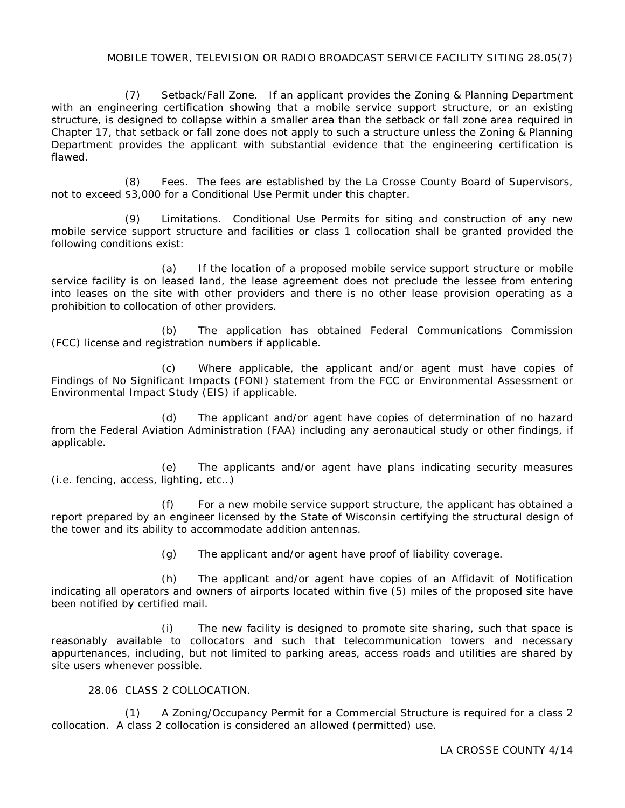## MOBILE TOWER, TELEVISION OR RADIO BROADCAST SERVICE FACILITY SITING 28.05(7)

(7) Setback/Fall Zone. If an applicant provides the Zoning & Planning Department with an engineering certification showing that a mobile service support structure, or an existing structure, is designed to collapse within a smaller area than the setback or fall zone area required in Chapter 17, that setback or fall zone does not apply to such a structure unless the Zoning & Planning Department provides the applicant with substantial evidence that the engineering certification is flawed.

(8) Fees. The fees are established by the La Crosse County Board of Supervisors, not to exceed \$3,000 for a Conditional Use Permit under this chapter.

(9) Limitations. Conditional Use Permits for siting and construction of any new mobile service support structure and facilities or class 1 collocation shall be granted provided the following conditions exist:

(a) If the location of a proposed mobile service support structure or mobile service facility is on leased land, the lease agreement does not preclude the lessee from entering into leases on the site with other providers and there is no other lease provision operating as a prohibition to collocation of other providers.

(b) The application has obtained Federal Communications Commission (FCC) license and registration numbers if applicable.

(c) Where applicable, the applicant and/or agent must have copies of Findings of No Significant Impacts (FONI) statement from the FCC or Environmental Assessment or Environmental Impact Study (EIS) if applicable.

(d) The applicant and/or agent have copies of determination of no hazard from the Federal Aviation Administration (FAA) including any aeronautical study or other findings, if applicable.

(e) The applicants and/or agent have plans indicating security measures (i.e. fencing, access, lighting, etc…)

(f) For a new mobile service support structure, the applicant has obtained a report prepared by an engineer licensed by the State of Wisconsin certifying the structural design of the tower and its ability to accommodate addition antennas.

(g) The applicant and/or agent have proof of liability coverage.

(h) The applicant and/or agent have copies of an Affidavit of Notification indicating all operators and owners of airports located within five (5) miles of the proposed site have been notified by certified mail.

(i) The new facility is designed to promote site sharing, such that space is reasonably available to collocators and such that telecommunication towers and necessary appurtenances, including, but not limited to parking areas, access roads and utilities are shared by site users whenever possible.

## 28.06 CLASS 2 COLLOCATION.

(1) A Zoning/Occupancy Permit for a Commercial Structure is required for a class 2 collocation. A class 2 collocation is considered an allowed (permitted) use.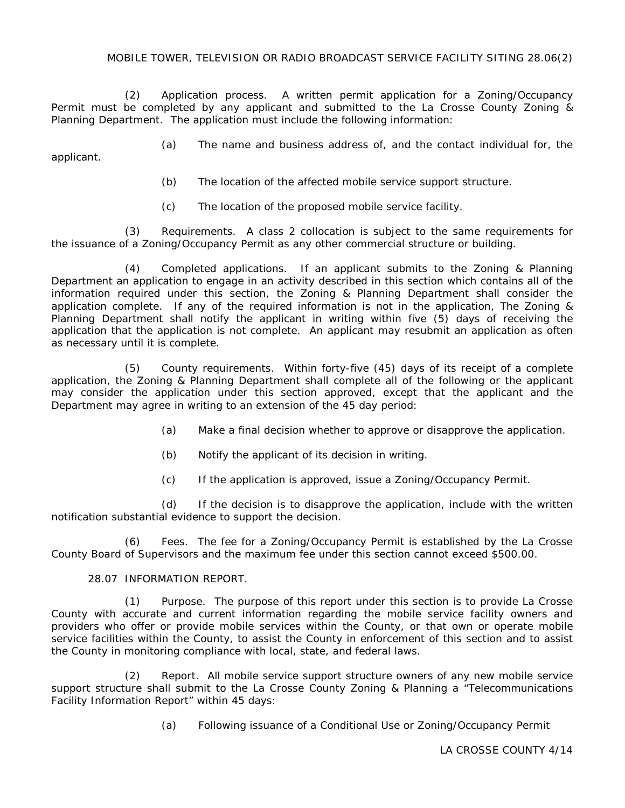### MOBILE TOWER, TELEVISION OR RADIO BROADCAST SERVICE FACILITY SITING 28.06(2)

(2) Application process. A written permit application for a Zoning/Occupancy Permit must be completed by any applicant and submitted to the La Crosse County Zoning & Planning Department. The application must include the following information:

(a) The name and business address of, and the contact individual for, the applicant.

- (b) The location of the affected mobile service support structure.
- (c) The location of the proposed mobile service facility.

(3) Requirements. A class 2 collocation is subject to the same requirements for the issuance of a Zoning/Occupancy Permit as any other commercial structure or building.

(4) Completed applications. If an applicant submits to the Zoning & Planning Department an application to engage in an activity described in this section which contains all of the information required under this section, the Zoning & Planning Department shall consider the application complete. If any of the required information is not in the application, The Zoning & Planning Department shall notify the applicant in writing within five (5) days of receiving the application that the application is not complete. An applicant may resubmit an application as often as necessary until it is complete.

(5) County requirements. Within forty-five (45) days of its receipt of a complete application, the Zoning & Planning Department shall complete all of the following or the applicant may consider the application under this section approved, except that the applicant and the Department may agree in writing to an extension of the 45 day period:

- (a) Make a final decision whether to approve or disapprove the application.
- (b) Notify the applicant of its decision in writing.
- (c) If the application is approved, issue a Zoning/Occupancy Permit.

(d) If the decision is to disapprove the application, include with the written notification substantial evidence to support the decision.

(6) Fees. The fee for a Zoning/Occupancy Permit is established by the La Crosse County Board of Supervisors and the maximum fee under this section cannot exceed \$500.00.

#### 28.07 INFORMATION REPORT.

(1) Purpose. The purpose of this report under this section is to provide La Crosse County with accurate and current information regarding the mobile service facility owners and providers who offer or provide mobile services within the County, or that own or operate mobile service facilities within the County, to assist the County in enforcement of this section and to assist the County in monitoring compliance with local, state, and federal laws.

(2) Report. All mobile service support structure owners of any new mobile service support structure shall submit to the La Crosse County Zoning & Planning a "Telecommunications Facility Information Report" within 45 days:

(a) Following issuance of a Conditional Use or Zoning/Occupancy Permit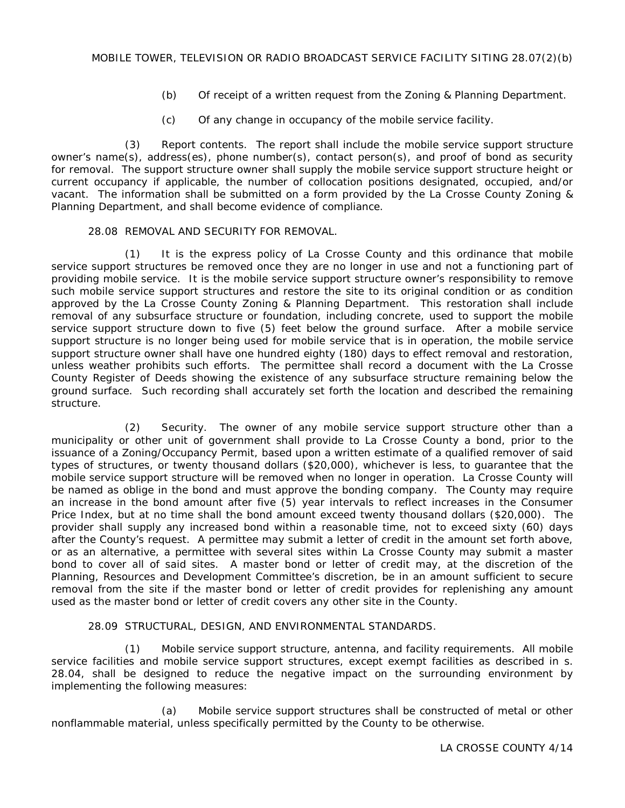- (b) Of receipt of a written request from the Zoning & Planning Department.
- (c) Of any change in occupancy of the mobile service facility.

(3) Report contents. The report shall include the mobile service support structure owner's name(s), address(es), phone number(s), contact person(s), and proof of bond as security for removal. The support structure owner shall supply the mobile service support structure height or current occupancy if applicable, the number of collocation positions designated, occupied, and/or vacant. The information shall be submitted on a form provided by the La Crosse County Zoning & Planning Department, and shall become evidence of compliance.

### 28.08 REMOVAL AND SECURITY FOR REMOVAL.

(1) It is the express policy of La Crosse County and this ordinance that mobile service support structures be removed once they are no longer in use and not a functioning part of providing mobile service. It is the mobile service support structure owner's responsibility to remove such mobile service support structures and restore the site to its original condition or as condition approved by the La Crosse County Zoning & Planning Department. This restoration shall include removal of any subsurface structure or foundation, including concrete, used to support the mobile service support structure down to five (5) feet below the ground surface. After a mobile service support structure is no longer being used for mobile service that is in operation, the mobile service support structure owner shall have one hundred eighty (180) days to effect removal and restoration, unless weather prohibits such efforts. The permittee shall record a document with the La Crosse County Register of Deeds showing the existence of any subsurface structure remaining below the ground surface. Such recording shall accurately set forth the location and described the remaining structure.

(2) Security. The owner of any mobile service support structure other than a municipality or other unit of government shall provide to La Crosse County a bond, prior to the issuance of a Zoning/Occupancy Permit, based upon a written estimate of a qualified remover of said types of structures, or twenty thousand dollars (\$20,000), whichever is less, to guarantee that the mobile service support structure will be removed when no longer in operation. La Crosse County will be named as oblige in the bond and must approve the bonding company. The County may require an increase in the bond amount after five (5) year intervals to reflect increases in the Consumer Price Index, but at no time shall the bond amount exceed twenty thousand dollars (\$20,000). The provider shall supply any increased bond within a reasonable time, not to exceed sixty (60) days after the County's request. A permittee may submit a letter of credit in the amount set forth above, or as an alternative, a permittee with several sites within La Crosse County may submit a master bond to cover all of said sites. A master bond or letter of credit may, at the discretion of the Planning, Resources and Development Committee's discretion, be in an amount sufficient to secure removal from the site if the master bond or letter of credit provides for replenishing any amount used as the master bond or letter of credit covers any other site in the County.

### 28.09 STRUCTURAL, DESIGN, AND ENVIRONMENTAL STANDARDS.

(1) Mobile service support structure, antenna, and facility requirements. All mobile service facilities and mobile service support structures, except exempt facilities as described in s. 28.04, shall be designed to reduce the negative impact on the surrounding environment by implementing the following measures:

(a) Mobile service support structures shall be constructed of metal or other nonflammable material, unless specifically permitted by the County to be otherwise.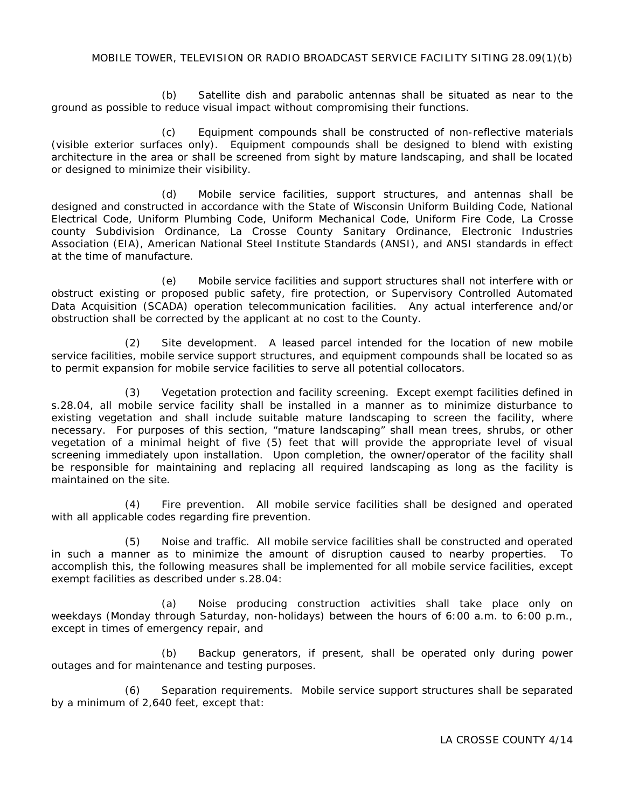## MOBILE TOWER, TELEVISION OR RADIO BROADCAST SERVICE FACILITY SITING 28.09(1)(b)

(b) Satellite dish and parabolic antennas shall be situated as near to the ground as possible to reduce visual impact without compromising their functions.

(c) Equipment compounds shall be constructed of non-reflective materials (visible exterior surfaces only). Equipment compounds shall be designed to blend with existing architecture in the area or shall be screened from sight by mature landscaping, and shall be located or designed to minimize their visibility.

(d) Mobile service facilities, support structures, and antennas shall be designed and constructed in accordance with the State of Wisconsin Uniform Building Code, National Electrical Code, Uniform Plumbing Code, Uniform Mechanical Code, Uniform Fire Code, La Crosse county Subdivision Ordinance, La Crosse County Sanitary Ordinance, Electronic Industries Association (EIA), American National Steel Institute Standards (ANSI), and ANSI standards in effect at the time of manufacture.

(e) Mobile service facilities and support structures shall not interfere with or obstruct existing or proposed public safety, fire protection, or Supervisory Controlled Automated Data Acquisition (SCADA) operation telecommunication facilities. Any actual interference and/or obstruction shall be corrected by the applicant at no cost to the County.

(2) Site development. A leased parcel intended for the location of new mobile service facilities, mobile service support structures, and equipment compounds shall be located so as to permit expansion for mobile service facilities to serve all potential collocators.

(3) Vegetation protection and facility screening. Except exempt facilities defined in s.28.04, all mobile service facility shall be installed in a manner as to minimize disturbance to existing vegetation and shall include suitable mature landscaping to screen the facility, where necessary. For purposes of this section, "mature landscaping" shall mean trees, shrubs, or other vegetation of a minimal height of five (5) feet that will provide the appropriate level of visual screening immediately upon installation. Upon completion, the owner/operator of the facility shall be responsible for maintaining and replacing all required landscaping as long as the facility is maintained on the site.

(4) Fire prevention. All mobile service facilities shall be designed and operated with all applicable codes regarding fire prevention.

(5) Noise and traffic. All mobile service facilities shall be constructed and operated in such a manner as to minimize the amount of disruption caused to nearby properties. To accomplish this, the following measures shall be implemented for all mobile service facilities, except exempt facilities as described under s.28.04:

(a) Noise producing construction activities shall take place only on weekdays (Monday through Saturday, non-holidays) between the hours of 6:00 a.m. to 6:00 p.m., except in times of emergency repair, and

(b) Backup generators, if present, shall be operated only during power outages and for maintenance and testing purposes.

(6) Separation requirements. Mobile service support structures shall be separated by a minimum of 2,640 feet, except that: